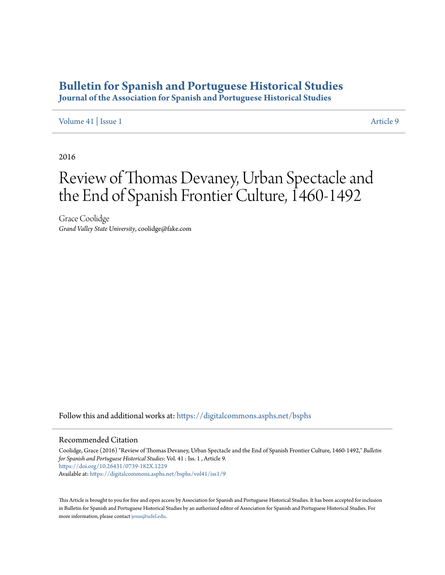## **[Bulletin for Spanish and Portuguese Historical Studies](https://digitalcommons.asphs.net/bsphs?utm_source=digitalcommons.asphs.net%2Fbsphs%2Fvol41%2Fiss1%2F9&utm_medium=PDF&utm_campaign=PDFCoverPages)**

**Journal of the Association for Spanish and Portuguese Historical Studies**

[Volume 41](https://digitalcommons.asphs.net/bsphs/vol41?utm_source=digitalcommons.asphs.net%2Fbsphs%2Fvol41%2Fiss1%2F9&utm_medium=PDF&utm_campaign=PDFCoverPages) | [Issue 1](https://digitalcommons.asphs.net/bsphs/vol41/iss1?utm_source=digitalcommons.asphs.net%2Fbsphs%2Fvol41%2Fiss1%2F9&utm_medium=PDF&utm_campaign=PDFCoverPages) [Article 9](https://digitalcommons.asphs.net/bsphs/vol41/iss1/9?utm_source=digitalcommons.asphs.net%2Fbsphs%2Fvol41%2Fiss1%2F9&utm_medium=PDF&utm_campaign=PDFCoverPages)

2016

## Review of Thomas Devaney, Urban Spectacle and the End of Spanish Frontier Culture, 1460-1492

Grace Coolidge *Grand Valley State University*, coolidge@fake.com

Follow this and additional works at: [https://digitalcommons.asphs.net/bsphs](https://digitalcommons.asphs.net/bsphs?utm_source=digitalcommons.asphs.net%2Fbsphs%2Fvol41%2Fiss1%2F9&utm_medium=PDF&utm_campaign=PDFCoverPages)

## Recommended Citation

Coolidge, Grace (2016) "Review of Thomas Devaney, Urban Spectacle and the End of Spanish Frontier Culture, 1460-1492," *Bulletin for Spanish and Portuguese Historical Studies*: Vol. 41 : Iss. 1 , Article 9. <https://doi.org/10.26431/0739-182X.1229> Available at: [https://digitalcommons.asphs.net/bsphs/vol41/iss1/9](https://digitalcommons.asphs.net/bsphs/vol41/iss1/9?utm_source=digitalcommons.asphs.net%2Fbsphs%2Fvol41%2Fiss1%2F9&utm_medium=PDF&utm_campaign=PDFCoverPages)

This Article is brought to you for free and open access by Association for Spanish and Portuguese Historical Studies. It has been accepted for inclusion in Bulletin for Spanish and Portuguese Historical Studies by an authorized editor of Association for Spanish and Portuguese Historical Studies. For more information, please contact [jesus@udel.edu](mailto:jesus@udel.edu).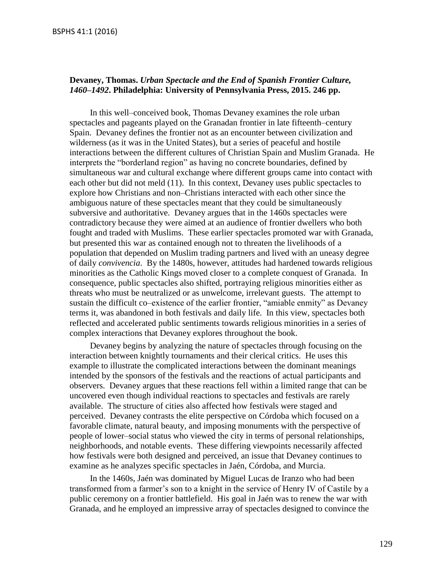## **Devaney, Thomas.** *Urban Spectacle and the End of Spanish Frontier Culture, 1460–1492***. Philadelphia: University of Pennsylvania Press, 2015. 246 pp.**

In this well–conceived book, Thomas Devaney examines the role urban spectacles and pageants played on the Granadan frontier in late fifteenth–century Spain. Devaney defines the frontier not as an encounter between civilization and wilderness (as it was in the United States), but a series of peaceful and hostile interactions between the different cultures of Christian Spain and Muslim Granada. He interprets the "borderland region" as having no concrete boundaries, defined by simultaneous war and cultural exchange where different groups came into contact with each other but did not meld (11). In this context, Devaney uses public spectacles to explore how Christians and non–Christians interacted with each other since the ambiguous nature of these spectacles meant that they could be simultaneously subversive and authoritative. Devaney argues that in the 1460s spectacles were contradictory because they were aimed at an audience of frontier dwellers who both fought and traded with Muslims. These earlier spectacles promoted war with Granada, but presented this war as contained enough not to threaten the livelihoods of a population that depended on Muslim trading partners and lived with an uneasy degree of daily *convivencia*. By the 1480s, however, attitudes had hardened towards religious minorities as the Catholic Kings moved closer to a complete conquest of Granada. In consequence, public spectacles also shifted, portraying religious minorities either as threats who must be neutralized or as unwelcome, irrelevant guests. The attempt to sustain the difficult co–existence of the earlier frontier, "amiable enmity" as Devaney terms it, was abandoned in both festivals and daily life. In this view, spectacles both reflected and accelerated public sentiments towards religious minorities in a series of complex interactions that Devaney explores throughout the book.

Devaney begins by analyzing the nature of spectacles through focusing on the interaction between knightly tournaments and their clerical critics. He uses this example to illustrate the complicated interactions between the dominant meanings intended by the sponsors of the festivals and the reactions of actual participants and observers. Devaney argues that these reactions fell within a limited range that can be uncovered even though individual reactions to spectacles and festivals are rarely available. The structure of cities also affected how festivals were staged and perceived. Devaney contrasts the elite perspective on Córdoba which focused on a favorable climate, natural beauty, and imposing monuments with the perspective of people of lower–social status who viewed the city in terms of personal relationships, neighborhoods, and notable events. These differing viewpoints necessarily affected how festivals were both designed and perceived, an issue that Devaney continues to examine as he analyzes specific spectacles in Jaén, Córdoba, and Murcia.

In the 1460s, Jaén was dominated by Miguel Lucas de Iranzo who had been transformed from a farmer's son to a knight in the service of Henry IV of Castile by a public ceremony on a frontier battlefield. His goal in Jaén was to renew the war with Granada, and he employed an impressive array of spectacles designed to convince the